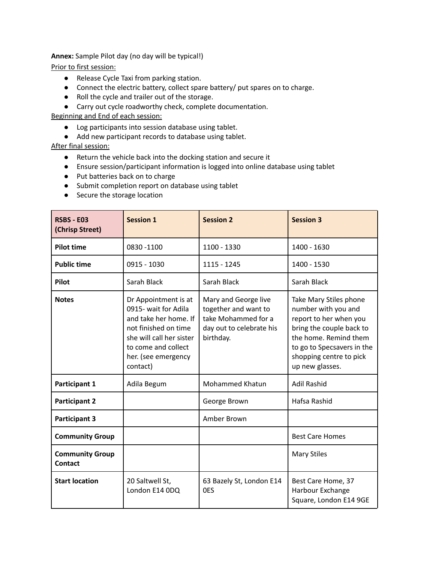**Annex:** Sample Pilot day (no day will be typical!)

Prior to first session:

- Release Cycle Taxi from parking station.
- Connect the electric battery, collect spare battery/ put spares on to charge.
- Roll the cycle and trailer out of the storage.
- Carry out cycle roadworthy check, complete documentation.

Beginning and End of each session:

- Log participants into session database using tablet.
- Add new participant records to database using tablet.

After final session:

- Return the vehicle back into the docking station and secure it
- Ensure session/participant information is logged into online database using tablet
- Put batteries back on to charge
- Submit completion report on database using tablet
- Secure the storage location

| <b>RSBS - E03</b><br>(Chrisp Street)     | <b>Session 1</b>                                                                                                                                                                    | <b>Session 2</b>                                                                                             | <b>Session 3</b>                                                                                                                                                                                         |
|------------------------------------------|-------------------------------------------------------------------------------------------------------------------------------------------------------------------------------------|--------------------------------------------------------------------------------------------------------------|----------------------------------------------------------------------------------------------------------------------------------------------------------------------------------------------------------|
| <b>Pilot time</b>                        | 0830 - 1100                                                                                                                                                                         | 1100 - 1330                                                                                                  | 1400 - 1630                                                                                                                                                                                              |
| <b>Public time</b>                       | 0915 - 1030                                                                                                                                                                         | 1115 - 1245                                                                                                  | 1400 - 1530                                                                                                                                                                                              |
| Pilot                                    | Sarah Black                                                                                                                                                                         | Sarah Black                                                                                                  | Sarah Black                                                                                                                                                                                              |
| <b>Notes</b>                             | Dr Appointment is at<br>0915- wait for Adila<br>and take her home. If<br>not finished on time<br>she will call her sister<br>to come and collect<br>her. (see emergency<br>contact) | Mary and George live<br>together and want to<br>take Mohammed for a<br>day out to celebrate his<br>birthday. | Take Mary Stiles phone<br>number with you and<br>report to her when you<br>bring the couple back to<br>the home. Remind them<br>to go to Specsavers in the<br>shopping centre to pick<br>up new glasses. |
| Participant 1                            | Adila Begum                                                                                                                                                                         | <b>Mohammed Khatun</b>                                                                                       | <b>Adil Rashid</b>                                                                                                                                                                                       |
| <b>Participant 2</b>                     |                                                                                                                                                                                     | George Brown                                                                                                 | Hafsa Rashid                                                                                                                                                                                             |
| <b>Participant 3</b>                     |                                                                                                                                                                                     | Amber Brown                                                                                                  |                                                                                                                                                                                                          |
| <b>Community Group</b>                   |                                                                                                                                                                                     |                                                                                                              | <b>Best Care Homes</b>                                                                                                                                                                                   |
| <b>Community Group</b><br><b>Contact</b> |                                                                                                                                                                                     |                                                                                                              | <b>Mary Stiles</b>                                                                                                                                                                                       |
| <b>Start location</b>                    | 20 Saltwell St,<br>London E14 0DQ                                                                                                                                                   | 63 Bazely St, London E14<br>0ES                                                                              | Best Care Home, 37<br>Harbour Exchange<br>Square, London E14 9GE                                                                                                                                         |